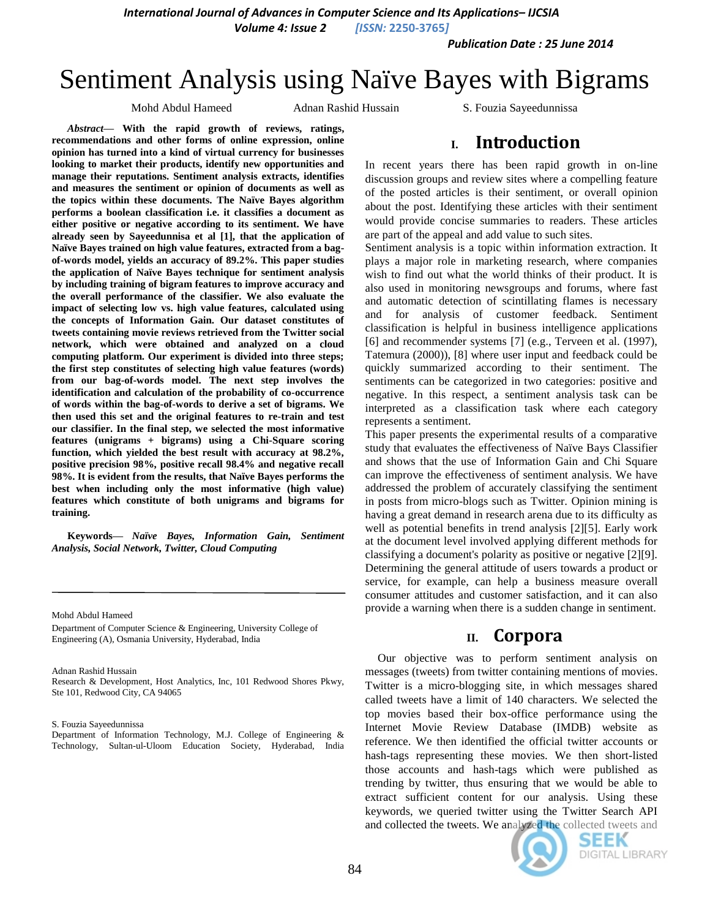*International Journal of Advances in Computer Science and Its Applications– IJCSIA*

*Volume 4: Issue 2 [ISSN:* **2250-3765***]*

*Publication Date : 25 June 2014*

# Sentiment Analysis using Naïve Bayes with Bigrams

Mohd Abdul Hameed Adnan Rashid Hussain S. Fouzia Sayeedunnissa

*Abstract***— With the rapid growth of reviews, ratings, recommendations and other forms of online expression, online opinion has turned into a kind of virtual currency for businesses looking to market their products, identify new opportunities and manage their reputations. Sentiment analysis extracts, identifies and measures the sentiment or opinion of documents as well as the topics within these documents. The Naïve Bayes algorithm performs a boolean classification i.e. it classifies a document as either positive or negative according to its sentiment. We have already seen by Sayeedunnisa et al [1], that the application of Naïve Bayes trained on high value features, extracted from a bagof-words model, yields an accuracy of 89.2%. This paper studies the application of Naïve Bayes technique for sentiment analysis by including training of bigram features to improve accuracy and the overall performance of the classifier. We also evaluate the impact of selecting low vs. high value features, calculated using the concepts of Information Gain. Our dataset constitutes of tweets containing movie reviews retrieved from the Twitter social network, which were obtained and analyzed on a cloud computing platform. Our experiment is divided into three steps; the first step constitutes of selecting high value features (words) from our bag-of-words model. The next step involves the identification and calculation of the probability of co-occurrence of words within the bag-of-words to derive a set of bigrams. We then used this set and the original features to re-train and test our classifier. In the final step, we selected the most informative features (unigrams + bigrams) using a Chi-Square scoring function, which yielded the best result with accuracy at 98.2%, positive precision 98%, positive recall 98.4% and negative recall 98%. It is evident from the results, that Naïve Bayes performs the best when including only the most informative (high value) features which constitute of both unigrams and bigrams for training.**

**Keywords—** *Naïve Bayes, Information Gain, Sentiment Analysis, Social Network, Twitter, Cloud Computing*

Mohd Abdul Hameed

Department of Computer Science & Engineering, University College of Engineering (A), Osmania University, Hyderabad, India

Adnan Rashid Hussain

Research & Development, Host Analytics, Inc, 101 Redwood Shores Pkwy, Ste 101, Redwood City, CA 94065

S. Fouzia Sayeedunnissa

Department of Information Technology, M.J. College of Engineering & Technology, Sultan-ul-Uloom Education Society, Hyderabad, India

# **I. Introduction**

In recent years there has been rapid growth in on-line discussion groups and review sites where a compelling feature of the posted articles is their sentiment, or overall opinion about the post. Identifying these articles with their sentiment would provide concise summaries to readers. These articles are part of the appeal and add value to such sites.

Sentiment analysis is a topic within information extraction. It plays a major role in marketing research, where companies wish to find out what the world thinks of their product. It is also used in monitoring newsgroups and forums, where fast and automatic detection of scintillating flames is necessary and for analysis of customer feedback. Sentiment classification is helpful in business intelligence applications [6] and recommender systems [7] (e.g., Terveen et al. (1997), Tatemura (2000)), [8] where user input and feedback could be quickly summarized according to their sentiment. The sentiments can be categorized in two categories: positive and negative. In this respect, a sentiment analysis task can be interpreted as a classification task where each category represents a sentiment.

This paper presents the experimental results of a comparative study that evaluates the effectiveness of Naïve Bays Classifier and shows that the use of Information Gain and Chi Square can improve the effectiveness of sentiment analysis. We have addressed the problem of accurately classifying the sentiment in posts from micro-blogs such as Twitter. Opinion mining is having a great demand in research arena due to its difficulty as well as potential benefits in trend analysis [2][5]. Early work at the document level involved applying different methods for classifying a document's polarity as positive or negative [2][9]. Determining the general attitude of users towards a product or service, for example, can help a business measure overall consumer attitudes and customer satisfaction, and it can also provide a warning when there is a sudden change in sentiment.

## **II. Corpora**

Our objective was to perform sentiment analysis on messages (tweets) from twitter containing mentions of movies. Twitter is a micro-blogging site, in which messages shared called tweets have a limit of 140 characters. We selected the top movies based their box-office performance using the Internet Movie Review Database (IMDB) website as reference. We then identified the official twitter accounts or hash-tags representing these movies. We then short-listed those accounts and hash-tags which were published as trending by twitter, thus ensuring that we would be able to extract sufficient content for our analysis. Using these keywords, we queried twitter using the Twitter Search API and collected the tweets. We analyzed the collected tweets and



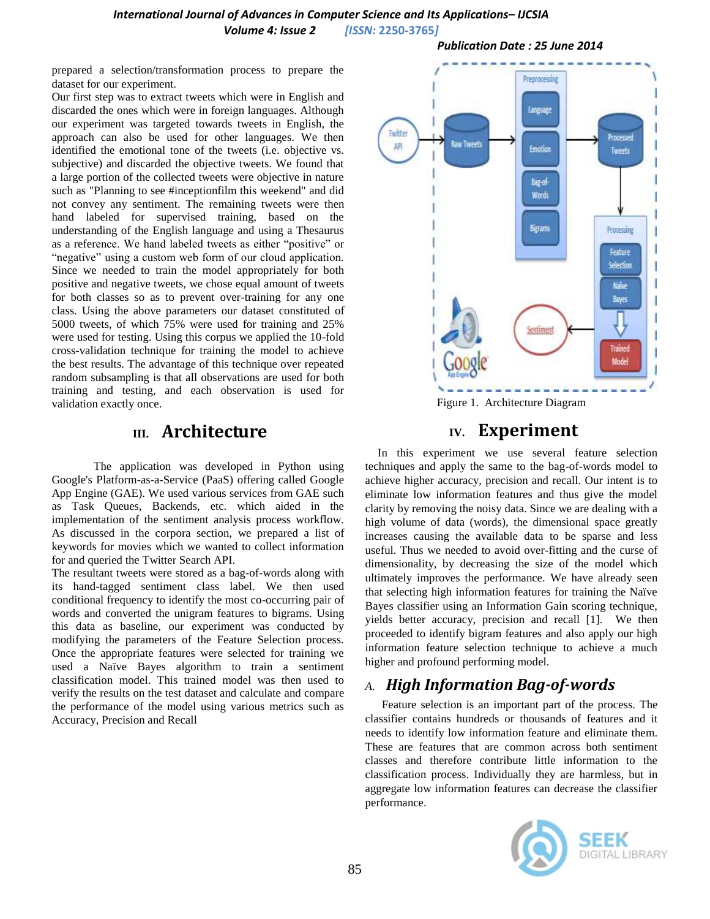*International Journal of Advances in Computer Science and Its Applications– IJCSIA Volume 4: Issue 2 [ISSN:* **2250-3765***]*

prepared a selection/transformation process to prepare the dataset for our experiment.

Our first step was to extract tweets which were in English and discarded the ones which were in foreign languages. Although our experiment was targeted towards tweets in English, the approach can also be used for other languages. We then identified the emotional tone of the tweets (i.e. objective vs. subjective) and discarded the objective tweets. We found that a large portion of the collected tweets were objective in nature such as "Planning to see #inceptionfilm this weekend" and did not convey any sentiment. The remaining tweets were then hand labeled for supervised training, based on the understanding of the English language and using a Thesaurus as a reference. We hand labeled tweets as either "positive" or "negative" using a custom web form of our cloud application. Since we needed to train the model appropriately for both positive and negative tweets, we chose equal amount of tweets for both classes so as to prevent over-training for any one class. Using the above parameters our dataset constituted of 5000 tweets, of which 75% were used for training and 25% were used for testing. Using this corpus we applied the 10-fold cross-validation technique for training the model to achieve the best results. The advantage of this technique over repeated random subsampling is that all observations are used for both training and testing, and each observation is used for validation exactly once.

# **III. Architecture**

The application was developed in Python using Google's Platform-as-a-Service (PaaS) offering called Google App Engine (GAE). We used various services from GAE such as Task Queues, Backends, etc. which aided in the implementation of the sentiment analysis process workflow. As discussed in the corpora section, we prepared a list of keywords for movies which we wanted to collect information for and queried the Twitter Search API.

The resultant tweets were stored as a bag-of-words along with its hand-tagged sentiment class label. We then used conditional frequency to identify the most co-occurring pair of words and converted the unigram features to bigrams. Using this data as baseline, our experiment was conducted by modifying the parameters of the Feature Selection process. Once the appropriate features were selected for training we used a Naïve Bayes algorithm to train a sentiment classification model. This trained model was then used to verify the results on the test dataset and calculate and compare the performance of the model using various metrics such as Accuracy, Precision and Recall





Figure 1. Architecture Diagram

# **IV. Experiment**

In this experiment we use several feature selection techniques and apply the same to the bag-of-words model to achieve higher accuracy, precision and recall. Our intent is to eliminate low information features and thus give the model clarity by removing the noisy data. Since we are dealing with a high volume of data (words), the dimensional space greatly increases causing the available data to be sparse and less useful. Thus we needed to avoid over-fitting and the curse of dimensionality, by decreasing the size of the model which ultimately improves the performance. We have already seen that selecting high information features for training the Naïve Bayes classifier using an Information Gain scoring technique, yields better accuracy, precision and recall [1]. We then proceeded to identify bigram features and also apply our high information feature selection technique to achieve a much higher and profound performing model.

## *A. High Information Bag-of-words*

Feature selection is an important part of the process. The classifier contains hundreds or thousands of features and it needs to identify low information feature and eliminate them. These are features that are common across both sentiment classes and therefore contribute little information to the classification process. Individually they are harmless, but in aggregate low information features can decrease the classifier performance.

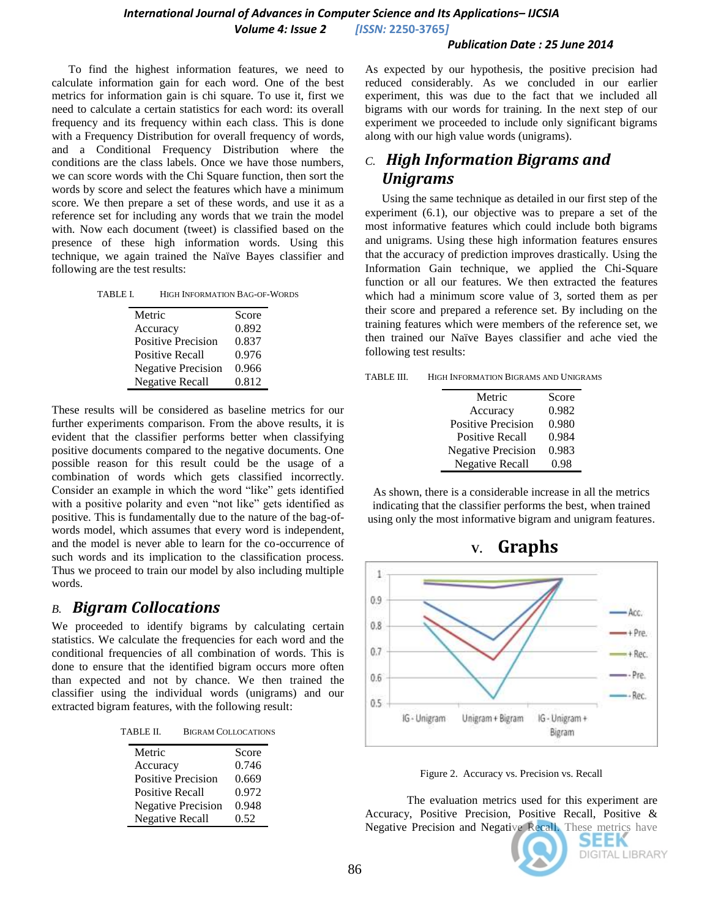#### *Publication Date : 25 June 2014*

To find the highest information features, we need to calculate information gain for each word. One of the best metrics for information gain is chi square. To use it, first we need to calculate a certain statistics for each word: its overall frequency and its frequency within each class. This is done with a Frequency Distribution for overall frequency of words, and a Conditional Frequency Distribution where the conditions are the class labels. Once we have those numbers, we can score words with the Chi Square function, then sort the words by score and select the features which have a minimum score. We then prepare a set of these words, and use it as a reference set for including any words that we train the model with. Now each document (tweet) is classified based on the presence of these high information words. Using this technique, we again trained the Naïve Bayes classifier and following are the test results:

TABLE I. HIGH INFORMATION BAG-OF-WORDS

| Metric                    | Score |
|---------------------------|-------|
| Accuracy                  | 0.892 |
| <b>Positive Precision</b> | 0.837 |
| <b>Positive Recall</b>    | 0.976 |
| <b>Negative Precision</b> | 0.966 |
| <b>Negative Recall</b>    | 0.812 |

These results will be considered as baseline metrics for our further experiments comparison. From the above results, it is evident that the classifier performs better when classifying positive documents compared to the negative documents. One possible reason for this result could be the usage of a combination of words which gets classified incorrectly. Consider an example in which the word "like" gets identified with a positive polarity and even "not like" gets identified as positive. This is fundamentally due to the nature of the bag-ofwords model, which assumes that every word is independent, and the model is never able to learn for the co-occurrence of such words and its implication to the classification process. Thus we proceed to train our model by also including multiple words.

### *B. Bigram Collocations*

We proceeded to identify bigrams by calculating certain statistics. We calculate the frequencies for each word and the conditional frequencies of all combination of words. This is done to ensure that the identified bigram occurs more often than expected and not by chance. We then trained the classifier using the individual words (unigrams) and our extracted bigram features, with the following result:

| Metric                    | Score |
|---------------------------|-------|
| Accuracy                  | 0.746 |
| <b>Positive Precision</b> | 0.669 |
| <b>Positive Recall</b>    | 0.972 |
| <b>Negative Precision</b> | 0.948 |
| <b>Negative Recall</b>    | 0.52  |

As expected by our hypothesis, the positive precision had reduced considerably. As we concluded in our earlier experiment, this was due to the fact that we included all bigrams with our words for training. In the next step of our experiment we proceeded to include only significant bigrams along with our high value words (unigrams).

# *C. High Information Bigrams and Unigrams*

Using the same technique as detailed in our first step of the experiment (6.1), our objective was to prepare a set of the most informative features which could include both bigrams and unigrams. Using these high information features ensures that the accuracy of prediction improves drastically. Using the Information Gain technique, we applied the Chi-Square function or all our features. We then extracted the features which had a minimum score value of 3, sorted them as per their score and prepared a reference set. By including on the training features which were members of the reference set, we then trained our Naïve Bayes classifier and ache vied the following test results:

| HIGH INFORMATION BIGRAMS AND UNIGRAMS<br>TABLE III. |  |
|-----------------------------------------------------|--|
|-----------------------------------------------------|--|

| Metric                    | Score |
|---------------------------|-------|
| Accuracy                  | 0.982 |
| <b>Positive Precision</b> | 0.980 |
| <b>Positive Recall</b>    | 0.984 |
| <b>Negative Precision</b> | 0.983 |
| <b>Negative Recall</b>    | 0.98  |

As shown, there is a considerable increase in all the metrics indicating that the classifier performs the best, when trained using only the most informative bigram and unigram features.



Figure 2. Accuracy vs. Precision vs. Recall

The evaluation metrics used for this experiment are Accuracy, Positive Precision, Positive Recall, Positive & Negative Precision and Negative Recall. These metrics have



SEEK DIGITAL LIBRARY